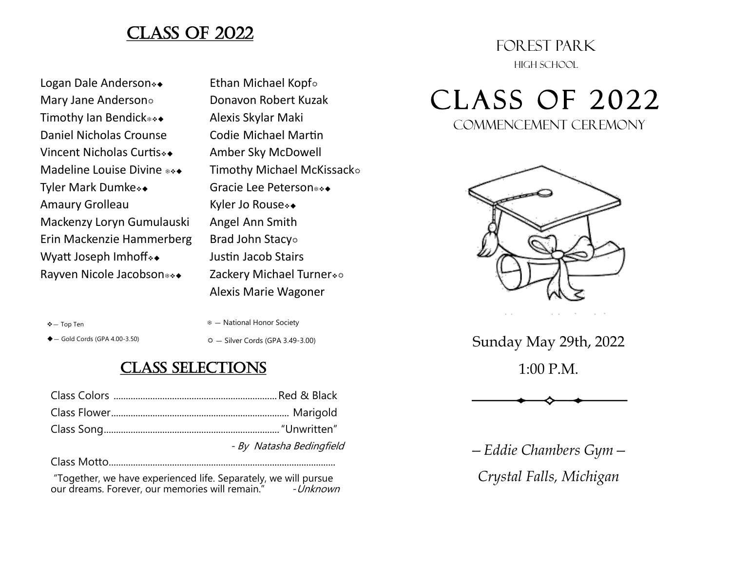# Class of 2022

Logan Dale Anderson❖◆ Mary Jane Anderson Timothy Ian Bendick<sup>®</sup> Daniel Nicholas Crounse Vincent Nicholas Curtis❖◆ Madeline Louise Divine <sup>®</sup> Tyler Mark Dumke❖◆ Amaury Grolleau Mackenzy Loryn Gumulauski Erin Mackenzie Hammerberg Wyatt Joseph Imhoff<sup>\*</sup> Rayven Nicole Jacobson <sup>®</sup>

Ethan Michael Kopf Donavon Robert Kuzak Alexis Skylar Maki Codie Michael Martin Amber Sky McDowell Timothy Michael McKissack Gracie Lee Peterson<sup>®</sup> Kyler Jo Rouse↔ Angel Ann Smith Brad John Stacy Justin Jacob Stairs Zackery Michael Turner <sup>↓</sup> Alexis Marie Wagoner

❖— Top Ten

◆— Gold Cords (GPA 4.00-3.50)

 — National Honor Society  $\Leftrightarrow$  - Silver Cords (GPA 3.49-3.00)

# Class Selections

| - By Natasha Bedingfield |
|--------------------------|

Class Motto.............................................................................................

"Together, we have experienced life. Separately, we will pursue our dreams. Forever, our memories will remain." - Unknown

# Forest Park HIGH SCHOOL

CLASS OF 2022 Commencement Ceremony



Sunday May 29th, 2022 1:00 P.M.



*—Eddie Chambers Gym— Crystal Falls, Michigan*